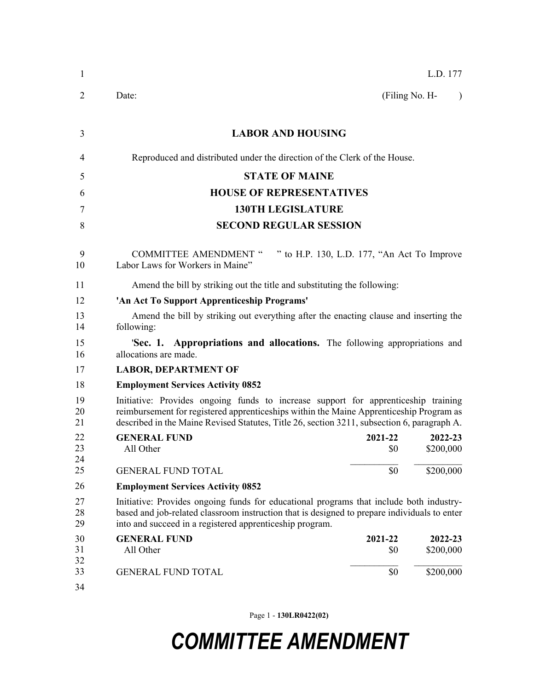| $\mathbf{1}$   | L.D. 177                                                                                                                                                                                                                                                                     |  |  |  |
|----------------|------------------------------------------------------------------------------------------------------------------------------------------------------------------------------------------------------------------------------------------------------------------------------|--|--|--|
| 2              | (Filing No. H-<br>Date:<br>$\lambda$                                                                                                                                                                                                                                         |  |  |  |
| 3              | <b>LABOR AND HOUSING</b>                                                                                                                                                                                                                                                     |  |  |  |
| 4              | Reproduced and distributed under the direction of the Clerk of the House.                                                                                                                                                                                                    |  |  |  |
| 5              | <b>STATE OF MAINE</b>                                                                                                                                                                                                                                                        |  |  |  |
| 6              | <b>HOUSE OF REPRESENTATIVES</b>                                                                                                                                                                                                                                              |  |  |  |
| 7              | <b>130TH LEGISLATURE</b>                                                                                                                                                                                                                                                     |  |  |  |
| 8              | <b>SECOND REGULAR SESSION</b>                                                                                                                                                                                                                                                |  |  |  |
| 9<br>10        | " to H.P. 130, L.D. 177, "An Act To Improve<br><b>COMMITTEE AMENDMENT "</b><br>Labor Laws for Workers in Maine"                                                                                                                                                              |  |  |  |
| 11             | Amend the bill by striking out the title and substituting the following:                                                                                                                                                                                                     |  |  |  |
| 12             | 'An Act To Support Apprenticeship Programs'                                                                                                                                                                                                                                  |  |  |  |
| 13<br>14       | Amend the bill by striking out everything after the enacting clause and inserting the<br>following:                                                                                                                                                                          |  |  |  |
| 15<br>16       | <b>Sec. 1. Appropriations and allocations.</b> The following appropriations and<br>allocations are made.                                                                                                                                                                     |  |  |  |
| 17             | <b>LABOR, DEPARTMENT OF</b>                                                                                                                                                                                                                                                  |  |  |  |
| 18             | <b>Employment Services Activity 0852</b>                                                                                                                                                                                                                                     |  |  |  |
| 19<br>20<br>21 | Initiative: Provides ongoing funds to increase support for apprenticeship training<br>reimbursement for registered apprenticeships within the Maine Apprenticeship Program as<br>described in the Maine Revised Statutes, Title 26, section 3211, subsection 6, paragraph A. |  |  |  |
| 22<br>23<br>24 | <b>GENERAL FUND</b><br>2022-23<br>2021-22<br>\$0<br>\$200,000<br>All Other                                                                                                                                                                                                   |  |  |  |
| 25             | \$0<br>\$200,000<br><b>GENERAL FUND TOTAL</b>                                                                                                                                                                                                                                |  |  |  |
| 26             | <b>Employment Services Activity 0852</b>                                                                                                                                                                                                                                     |  |  |  |
| 27<br>28<br>29 | Initiative: Provides ongoing funds for educational programs that include both industry-<br>based and job-related classroom instruction that is designed to prepare individuals to enter<br>into and succeed in a registered apprenticeship program.                          |  |  |  |
| 30<br>31<br>32 | <b>GENERAL FUND</b><br>2021-22<br>2022-23<br>All Other<br>\$200,000<br>\$0                                                                                                                                                                                                   |  |  |  |
| 33<br>34       | \$0<br><b>GENERAL FUND TOTAL</b><br>\$200,000                                                                                                                                                                                                                                |  |  |  |

Page 1 - **130LR0422(02)**

## *COMMITTEE AMENDMENT*